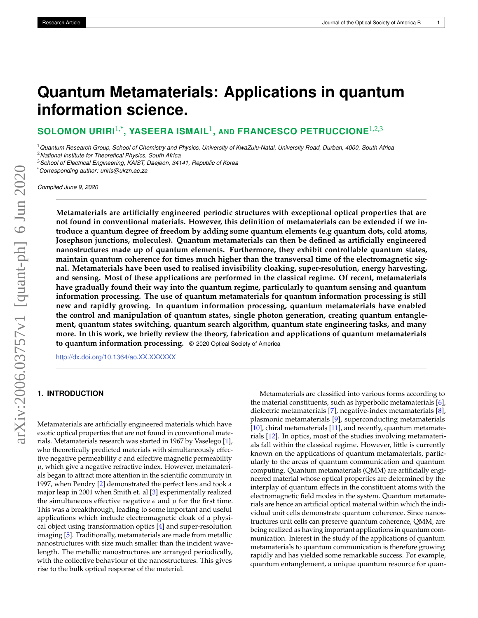# **Quantum Metamaterials: Applications in quantum information science.**

 $\textbf{SOLOMON}$  URIRI $^{1, *}$ , YASEERA ISMAIL<sup>1</sup>, AND FRANCESCO PETRUCCIONE $^{1, 2, 3}$ 

<sup>1</sup>*Quantum Research Group, School of Chemistry and Physics, University of KwaZulu-Natal, University Road, Durban, 4000, South Africa* <sup>2</sup>*National Institute for Theoretical Physics, South Africa*

<sup>3</sup>*School of Electrical Engineering, KAIST, Daejeon, 34141, Republic of Korea*

\**Corresponding author: uriris@ukzn.ac.za*

*Compiled June 9, 2020*

**Metamaterials are artificially engineered periodic structures with exceptional optical properties that are not found in conventional materials. However, this definition of metamaterials can be extended if we introduce a quantum degree of freedom by adding some quantum elements (e.g quantum dots, cold atoms, Josephson junctions, molecules). Quantum metamaterials can then be defined as artificially engineered nanostructures made up of quantum elements. Furthermore, they exhibit controllable quantum states, maintain quantum coherence for times much higher than the transversal time of the electromagnetic signal. Metamaterials have been used to realised invisibility cloaking, super-resolution, energy harvesting, and sensing. Most of these applications are performed in the classical regime. Of recent, metamaterials have gradually found their way into the quantum regime, particularly to quantum sensing and quantum information processing. The use of quantum metamaterials for quantum information processing is still new and rapidly growing. In quantum information processing, quantum metamaterials have enabled the control and manipulation of quantum states, single photon generation, creating quantum entanglement, quantum states switching, quantum search algorithm, quantum state engineering tasks, and many more. In this work, we briefly review the theory, fabrication and applications of quantum metamaterials to quantum information processing.** © 2020 Optical Society of America

<http://dx.doi.org/10.1364/ao.XX.XXXXXX>

# **1. INTRODUCTION**

Metamaterials are artificially engineered materials which have exotic optical properties that are not found in conventional materials. Metamaterials research was started in 1967 by Vaselego [\[1\]](#page-4-0), who theoretically predicted materials with simultaneously effective negative permeability *e* and effective magnetic permeability  $\mu$ , which give a negative refractive index. However, metamaterials began to attract more attention in the scientific community in 1997, when Pendry [\[2\]](#page-4-1) demonstrated the perfect lens and took a major leap in 2001 when Smith et. al [\[3\]](#page-4-2) experimentally realized the simultaneous effective negative  $\epsilon$  and  $\mu$  for the first time. This was a breakthrough, leading to some important and useful applications which include electromagnetic cloak of a physical object using transformation optics [\[4\]](#page-4-3) and super-resolution imaging [\[5\]](#page-4-4). Traditionally, metamaterials are made from metallic nanostructures with size much smaller than the incident wavelength. The metallic nanostructures are arranged periodically, with the collective behaviour of the nanostructures. This gives rise to the bulk optical response of the material.

Metamaterials are classified into various forms according to the material constituents, such as hyperbolic metamaterials [\[6\]](#page-4-5), dielectric metamaterials [\[7\]](#page-4-6), negative-index metamaterials [\[8\]](#page-4-7), plasmonic metamaterials [\[9\]](#page-4-8), superconducting metamaterials [\[10\]](#page-4-9), chiral metamaterials [\[11\]](#page-5-0), and recently, quantum metamaterials [\[12\]](#page-5-1). In optics, most of the studies involving metamaterials fall within the classical regime. However, little is currently known on the applications of quantum metamaterials, particularly to the areas of quantum communication and quantum computing. Quantum metamaterials (QMM) are artificially engineered material whose optical properties are determined by the interplay of quantum effects in the constituent atoms with the electromagnetic field modes in the system. Quantum metamaterials are hence an artificial optical material within which the individual unit cells demonstrate quantum coherence. Since nanostructures unit cells can preserve quantum coherence, QMM, are being realized as having important applications in quantum communication. Interest in the study of the applications of quantum metamaterials to quantum communication is therefore growing rapidly and has yielded some remarkable success. For example, quantum entanglement, a unique quantum resource for quan-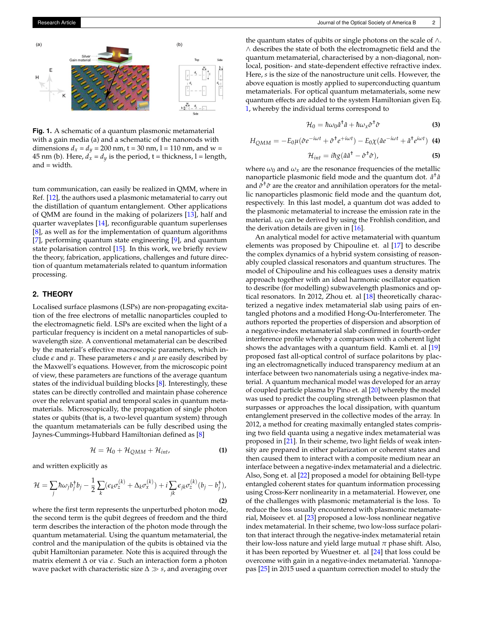

**Fig. 1.** A schematic of a quantum plasmonic metamaterial with a gain media (a) and a schematic of the nanorods with dimensions  $d_x = d_y = 200$  nm,  $t = 30$  nm,  $l = 110$  nm, and  $w =$ 45 nm (b). Here,  $d_x = d_y$  is the period,  $t =$  thickness,  $l =$  length, and = width.

tum communication, can easily be realized in QMM, where in Ref. [\[12\]](#page-5-1), the authors used a plasmonic metamaterial to carry out the distillation of quantum entanglement. Other applications of QMM are found in the making of polarizers [\[13\]](#page-5-2), half and quarter waveplates [\[14\]](#page-5-3), reconfigurable quantum superlenses [\[8\]](#page-4-7), as well as for the implementation of quantum algorithms [\[7\]](#page-4-6), performing quantum state engineering [\[9\]](#page-4-8), and quantum state polarisation control [\[15\]](#page-5-4). In this work, we briefly review the theory, fabrication, applications, challenges and future direction of quantum metamaterials related to quantum information processing.

# **2. THEORY**

Localised surface plasmons (LSPs) are non-propagating excitation of the free electrons of metallic nanoparticles coupled to the electromagnetic field. LSPs are excited when the light of a particular frequency is incident on a metal nanoparticles of subwavelength size. A conventional metamaterial can be described by the material's effective macroscopic parameters, which include  $\epsilon$  and  $\mu$ . These parameters  $\epsilon$  and  $\mu$  are easily described by the Maxwell's equations. However, from the microscopic point of view, these parameters are functions of the average quantum states of the individual building blocks [\[8\]](#page-4-7). Interestingly, these states can be directly controlled and maintain phase coherence over the relevant spatial and temporal scales in quantum metamaterials. Microscopically, the propagation of single photon states or qubits (that is, a two-level quantum system) through the quantum metamaterials can be fully described using the Jaynes-Cummings-Hubbard Hamiltonian defined as [\[8\]](#page-4-7)

<span id="page-1-0"></span>
$$
\mathcal{H} = \mathcal{H}_0 + \mathcal{H}_{QMM} + \mathcal{H}_{int}, \tag{1}
$$

and written explicitly as

$$
\mathcal{H} = \sum_{j} \hbar \omega_{j} b_{j}^{\dagger} b_{j} - \frac{1}{2} \sum_{k} (\epsilon_{k} \sigma_{z}^{(k)} + \Delta_{k} \sigma_{x}^{(k)}) + i \sum_{jk} \epsilon_{jk} \sigma_{z}^{(k)} (b_{j} - b_{j}^{\dagger}),
$$
\n(2)

where the first term represents the unperturbed photon mode, the second term is the qubit degrees of freedom and the third term describes the interaction of the photon mode through the quantum metamaterial. Using the quantum metamaterial, the control and the manipulation of the qubits is obtained via the qubit Hamiltonian parameter. Note this is acquired through the matrix element ∆ or via *e*. Such an interaction form a photon wave packet with characteristic size ∆ *s*, and averaging over the quantum states of qubits or single photons on the scale of ∧. ∧ describes the state of both the electromagnetic field and the quantum metamaterial, characterised by a non-diagonal, nonlocal, position- and state-dependent effective refractive index. Here, *s* is the size of the nanostructure unit cells. However, the above equation is mostly applied to superconducting quantum metamaterials. For optical quantum metamaterials, some new quantum effects are added to the system Hamiltonian given Eq. [1,](#page-1-0) whereby the individual terms correspond to

$$
\mathcal{H}_0 = \hbar \omega_0 \hat{a}^\dagger \hat{a} + \hbar \omega_x \hat{\sigma}^\dagger \hat{\sigma}
$$
 (3)

$$
H_{QMM} = -E_0 \mu (\hat{\sigma} e^{-i\omega t} + \hat{\sigma}^{\dagger} e^{+i\omega t}) - E_0 \chi (\hat{a} e^{-i\omega t} + \hat{a}^{\dagger} e^{i\omega t})
$$
 (4)

$$
\mathcal{H}_{int} = i\hbar g (\hat{a}\hat{a}^{\dagger} - \hat{\sigma}^{\dagger}\hat{\sigma}), \tag{5}
$$

where  $\omega_0$  and  $\omega_x$  are the resonance frequencies of the metallic nanoparticle plasmonic field mode and the quantum dot.  $\hat{a}^{\dagger} \hat{a}$ and *σ*ˆ †*σ*ˆ are the creator and annihilation operators for the metallic nanoparticles plasmonic field mode and the quantum dot, respectively. In this last model, a quantum dot was added to the plasmonic metamaterial to increase the emission rate in the material. *ω*<sup>0</sup> can be derived by using the Frohlish condition, and the derivation details are given in [\[16\]](#page-5-5).

An analytical model for active metamaterial with quantum elements was proposed by Chipouline et. al [\[17\]](#page-5-6) to describe the complex dynamics of a hybrid system consisting of reasonably coupled classical resonators and quantum structures. The model of Chipouline and his colleagues uses a density matrix approach together with an ideal harmonic oscillator equation to describe (for modelling) subwavelength plasmonics and optical resonators. In 2012, Zhou et. al [\[18\]](#page-5-7) theoretically characterized a negative index metamaterial slab using pairs of entangled photons and a modified Hong-Ou-Interferometer. The authors reported the properties of dispersion and absorption of a negative-index metamaterial slab confirmed in fourth-order interference profile whereby a comparison with a coherent light shows the advantages with a quantum field. Kamli et. al [\[19\]](#page-5-8) proposed fast all-optical control of surface polaritons by placing an electromagnetically induced transparency medium at an interface between two nanomaterials using a negative-index material. A quantum mechanical model was developed for an array of coupled particle plasma by Pino et. al [\[20\]](#page-5-9) whereby the model was used to predict the coupling strength between plasmon that surpasses or approaches the local dissipation, with quantum entanglement preserved in the collective modes of the array. In 2012, a method for creating maximally entangled states comprising two field quanta using a negative index metamaterial was proposed in [\[21\]](#page-5-10). In their scheme, two light fields of weak intensity are prepared in either polarization or coherent states and then caused them to interact with a composite medium near an interface between a negative-index metamaterial and a dielectric. Also, Song et. al [\[22\]](#page-5-11) proposed a model for obtaining Bell-type entangled coherent states for quantum information processing using Cross-Kerr nonlinearity in a metamaterial. However, one of the challenges with plasmonic metamaterial is the loss. To reduce the loss usually encountered with plasmonic metamaterial, Moiseev et. al [\[23\]](#page-5-12) proposed a low-loss nonlinear negative index metamaterial. In their scheme, two low-loss surface polariton that interact through the negative-index metamaterial retain their low-loss nature and yield large mutual *π* phase shift. Also, it has been reported by Wuestner et. al [\[24\]](#page-5-13) that loss could be overcome with gain in a negative-index metamaterial. Yannopapas [\[25\]](#page-5-14) in 2015 used a quantum correction model to study the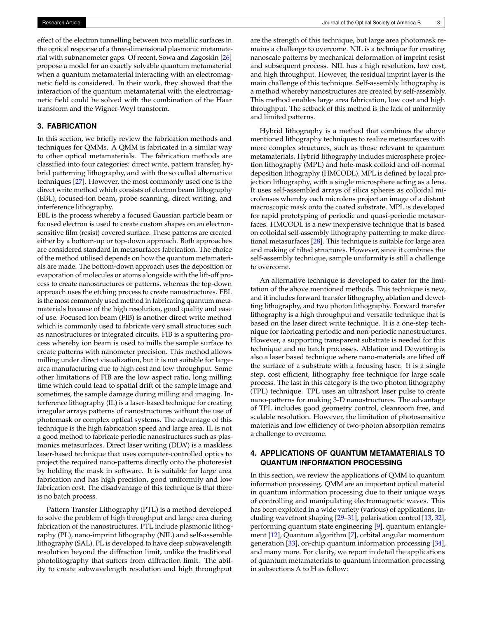effect of the electron tunnelling between two metallic surfaces in the optical response of a three-dimensional plasmonic metamaterial with subnanometer gaps. Of recent, Sowa and Zagoskin [\[26\]](#page-5-15) propose a model for an exactly solvable quantum metamaterial when a quantum metamaterial interacting with an electromagnetic field is considered. In their work, they showed that the interaction of the quantum metamaterial with the electromagnetic field could be solved with the combination of the Haar transform and the Wigner-Weyl transform.

# **3. FABRICATION**

In this section, we briefly review the fabrication methods and techniques for QMMs. A QMM is fabricated in a similar way to other optical metamaterials. The fabrication methods are classified into four categories: direct write, pattern transfer, hybrid patterning lithography, and with the so called alternative techniques [\[27\]](#page-5-16). However, the most commonly used one is the direct write method which consists of electron beam lithography (EBL), focused-ion beam, probe scanning, direct writing, and interference lithography.

EBL is the process whereby a focused Gaussian particle beam or focused electron is used to create custom shapes on an electronsensitive film (resist) covered surface. These patterns are created either by a bottom-up or top-down approach. Both approaches are considered standard in metasurfaces fabrication. The choice of the method utilised depends on how the quantum metamaterials are made. The bottom-down approach uses the deposition or evaporation of molecules or atoms alongside with the lift-off process to create nanostructures or patterns, whereas the top-down approach uses the etching process to create nanostructures. EBL is the most commonly used method in fabricating quantum metamaterials because of the high resolution, good quality and ease of use. Focused ion beam (FIB) is another direct write method which is commonly used to fabricate very small structures such as nanostructures or integrated circuits. FIB is a sputtering process whereby ion beam is used to mills the sample surface to create patterns with nanometer precision. This method allows milling under direct visualization, but it is not suitable for largearea manufacturing due to high cost and low throughput. Some other limitations of FIB are the low aspect ratio, long milling time which could lead to spatial drift of the sample image and sometimes, the sample damage during milling and imaging. Interference lithography (IL) is a laser-based technique for creating irregular arrays patterns of nanostructures without the use of photomask or complex optical systems. The advantage of this technique is the high fabrication speed and large area. IL is not a good method to fabricate periodic nanostructures such as plasmonics metasurfaces. Direct laser writing (DLW) is a maskless laser-based technique that uses computer-controlled optics to project the required nano-patterns directly onto the photoresist by holding the mask in software. It is suitable for large area fabrication and has high precision, good uniformity and low fabrication cost. The disadvantage of this technique is that there is no batch process.

Pattern Transfer Lithography (PTL) is a method developed to solve the problem of high throughput and large area during fabrication of the nanostructures. PTL include plasmonic lithography (PL), nano-imprint lithography (NIL) and self-assemble lithography (SAL). PL is developed to have deep subwavelength resolution beyond the diffraction limit, unlike the traditional photolitography that suffers from diffraction limit. The ability to create subwavelength resolution and high throughput

are the strength of this technique, but large area photomask remains a challenge to overcome. NIL is a technique for creating nanoscale patterns by mechanical deformation of imprint resist and subsequent process. NIL has a high resolution, low cost, and high throughput. However, the residual imprint layer is the main challenge of this technique. Self-assembly lithography is a method whereby nanostructures are created by self-assembly. This method enables large area fabrication, low cost and high throughput. The setback of this method is the lack of uniformity and limited patterns.

Hybrid lithography is a method that combines the above mentioned lithography techniques to realize metasurfaces with more complex structures, such as those relevant to quantum metamaterials. Hybrid lithography includes microsphere projection lithography (MPL) and hole-mask colloid and off-normal deposition lithography (HMCODL). MPL is defined by local projection lithography, with a single microsphere acting as a lens. It uses self-assembled arrays of silica spheres as colloidal microlenses whereby each microlens project an image of a distant macroscopic mask onto the coated substrate. MPL is developed for rapid prototyping of periodic and quasi-periodic metasurfaces. HMCODL is a new inexpensive technique that is based on colloidal self-assembly lithography patterning to make directional metasurfaces [\[28\]](#page-5-17). This technique is suitable for large area and making of tilted structures. However, since it combines the self-assembly technique, sample uniformity is still a challenge to overcome.

An alternative technique is developed to cater for the limitation of the above mentioned methods. This technique is new, and it includes forward transfer lithography, ablation and dewetting lithography, and two photon lithography. Forward transfer lithography is a high throughput and versatile technique that is based on the laser direct write technique. It is a one-step technique for fabricating periodic and non-periodic nanostructures. However, a supporting transparent substrate is needed for this technique and no batch processes. Ablation and Dewetting is also a laser based technique where nano-materials are lifted off the surface of a substrate with a focusing laser. It is a single step, cost efficient, lithography free technique for large scale process. The last in this category is the two photon lithography (TPL) technique. TPL uses an ultrashort laser pulse to create nano-patterns for making 3-D nanostructures. The advantage of TPL includes good geometry control, cleanroom free, and scalable resolution. However, the limitation of photosensitive materials and low efficiency of two-photon absorption remains a challenge to overcome.

# **4. APPLICATIONS OF QUANTUM METAMATERIALS TO QUANTUM INFORMATION PROCESSING**

In this section, we review the applications of QMM to quantum information processing. QMM are an important optical material in quantum information processing due to their unique ways of controlling and manipulating electromagnetic waves. This has been exploited in a wide variety (various) of applications, including wavefront shaping [\[29](#page-5-18)[–31\]](#page-5-19), polarisation control [\[13,](#page-5-2) [32\]](#page-5-20), performing quantum state engineering [\[9\]](#page-4-8), quantum entanglement [\[12\]](#page-5-1), Quantum algorithm [\[7\]](#page-4-6), orbital angular momentum generation [\[33\]](#page-5-21), on-chip quantum information processing [\[34\]](#page-5-22), and many more. For clarity, we report in detail the applications of quantum metamaterials to quantum information processing in subsections A to H as follow: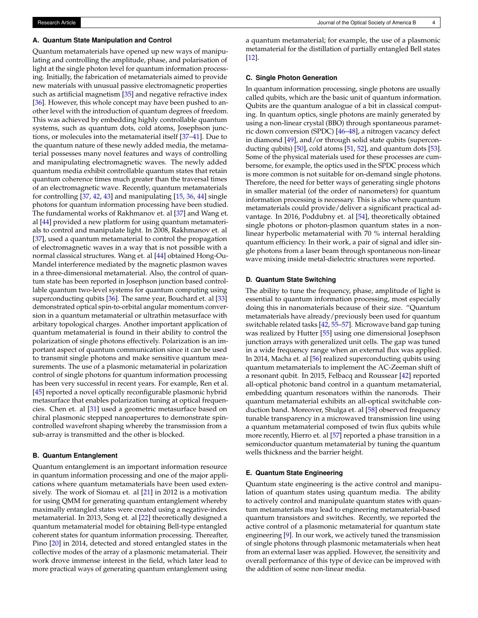#### **A. Quantum State Manipulation and Control**

Quantum metamaterials have opened up new ways of manipulating and controlling the amplitude, phase, and polarisation of light at the single photon level for quantum information processing. Initially, the fabrication of metamaterials aimed to provide new materials with unusual passive electromagnetic properties such as artificial magnetism [\[35\]](#page-5-23) and negative refractive index [\[36\]](#page-5-24). However, this whole concept may have been pushed to another level with the introduction of quantum degrees of freedom. This was achieved by embedding highly controllable quantum systems, such as quantum dots, cold atoms, Josephson junctions, or molecules into the metamaterial itself [\[37](#page-5-25)[–41\]](#page-5-26). Due to the quantum nature of these newly added media, the metamaterial possesses many novel features and ways of controlling and manipulating electromagnetic waves. The newly added quantum media exhibit controllable quantum states that retain quantum coherence times much greater than the traversal times of an electromagnetic wave. Recently, quantum metamaterials for controlling [\[37,](#page-5-25) [42,](#page-5-27) [43\]](#page-5-28) and manipulating [\[15,](#page-5-4) [36,](#page-5-24) [44\]](#page-5-29) single photons for quantum information processing have been studied. The fundamental works of Rakhmanov et. al [\[37\]](#page-5-25) and Wang et. al [\[44\]](#page-5-29) provided a new platform for using quantum metamaterials to control and manipulate light. In 2008, Rakhmanov et. al [\[37\]](#page-5-25), used a quantum metamaterial to control the propagation of electromagnetic waves in a way that is not possible with a normal classical structures. Wang et. al [\[44\]](#page-5-29) obtained Hong-Ou-Mandel interference mediated by the magnetic plasmon waves in a three-dimensional metamaterial. Also, the control of quantum state has been reported in Josephson junction based controllable quantum two-level systems for quantum computing using superconducting qubits [\[36\]](#page-5-24). The same year, Bouchard et. al [\[33\]](#page-5-21) demonstrated optical spin-to-orbital angular momentum conversion in a quantum metamaterial or ultrathin metasurface with arbitary topological charges. Another important application of quantum metamaterial is found in their ability to control the polarization of single photons effectively. Polarization is an important aspect of quantum communication since it can be used to transmit single photons and make sensitive quantum measurements. The use of a plasmonic metamaterial in polarization control of single photons for quantum information processing has been very successful in recent years. For example, Ren et al. [\[45\]](#page-5-30) reported a novel optically reconfigurable plasmonic hybrid metasurface that enables polarization tuning at optical frequencies. Chen et. al [\[31\]](#page-5-19) used a geometric metasurface based on chiral plasmonic stepped nanoapertures to demonstrate spincontrolled wavefront shaping whereby the transmission from a sub-array is transmitted and the other is blocked.

# **B. Quantum Entanglement**

Quantum entanglement is an important information resource in quantum information processing and one of the major applications where quantum metamaterials have been used extensively. The work of Siomau et. al [\[21\]](#page-5-10) in 2012 is a motivation for using QMM for generating quantum entanglement whereby maximally entangled states were created using a negative-index metamaterial. In 2013, Song et. al [\[22\]](#page-5-11) theoretically designed a quantum metamaterial model for obtaining Bell-type entangled coherent states for quantum information processing. Thereafter, Pino [\[20\]](#page-5-9) in 2014, detected and stored entangled states in the collective modes of the array of a plasmonic metamaterial. Their work drove immense interest in the field, which later lead to more practical ways of generating quantum entanglement using

a quantum metamaterial; for example, the use of a plasmonic metamaterial for the distillation of partially entangled Bell states [\[12\]](#page-5-1).

### **C. Single Photon Generation**

In quantum information processing, single photons are usually called qubits, which are the basic unit of quantum information. Qubits are the quantum analogue of a bit in classical computing. In quantum optics, single photons are mainly generated by using a non-linear crystal (BBO) through spontaneous parametric down conversion (SPDC) [\[46–](#page-5-31)[48\]](#page-5-32), a nitrogen vacancy defect in diamond [\[49\]](#page-5-33), and/or through solid state qubits (superconducting qubits) [\[50\]](#page-5-34), cold atoms [\[51,](#page-5-35) [52\]](#page-5-36), and quantum dots [\[53\]](#page-5-37). Some of the physical materials used for these processes are cumbersome, for example, the optics used in the SPDC process which is more common is not suitable for on-demand single photons. Therefore, the need for better ways of generating single photons in smaller material (of the order of nanometers) for quantum information processing is necessary. This is also where quantum metamaterials could provide/deliver a significant practical advantage. In 2016, Poddubny et. al [\[54\]](#page-5-38), theoretically obtained single photons or photon-plasmon quantum states in a nonlinear hyperbolic metamaterial with 70 % internal heralding quantum efficiency. In their work, a pair of signal and idler single photons from a laser beam through spontaneous non-linear wave mixing inside metal-dielectric structures were reported.

## **D. Quantum State Switching**

The ability to tune the frequency, phase, amplitude of light is essential to quantum information processing, most especially doing this in nanomaterials because of their size. "Quantum metamaterials have already/previously been used for quantum switchable related tasks [\[42,](#page-5-27) [55–](#page-5-39)[57\]](#page-6-0). Microwave band gap tuning was realized by Hutter [\[55\]](#page-5-39) using one dimensional Josephson junction arrays with generalized unit cells. The gap was tuned in a wide frequency range when an external flux was applied. In 2014, Macha et. al [\[56\]](#page-5-40) realized superconducting qubits using quantum metamaterials to implement the AC-Zeeman shift of a resonant qubit. In 2015, Felbacq and Roussear [\[42\]](#page-5-27) reported all-optical photonic band control in a quantum metamaterial, embedding quantum resonators within the nanorods. Their quantum metamaterial exhibits an all-optical switchable conduction band. Moreover, Shulga et. al [\[58\]](#page-6-1) observed frequency tunable transparency in a microwaved transmission line using a quantum metamaterial composed of twin flux qubits while more recently, Hierro et. al [\[57\]](#page-6-0) reported a phase transition in a semiconductor quantum metamaterial by tuning the quantum wells thickness and the barrier height.

#### **E. Quantum State Engineering**

Quantum state engineering is the active control and manipulation of quantum states using quantum media. The ability to actively control and manipulate quantum states with quantum metamaterials may lead to engineering metamaterial-based quantum transistors and switches. Recently, we reported the active control of a plasmonic metamaterial for quantum state engineering [\[9\]](#page-4-8). In our work, we actively tuned the transmission of single photons through plasmonic metamaterials when heat from an external laser was applied. However, the sensitivity and overall performance of this type of device can be improved with the addition of some non-linear media.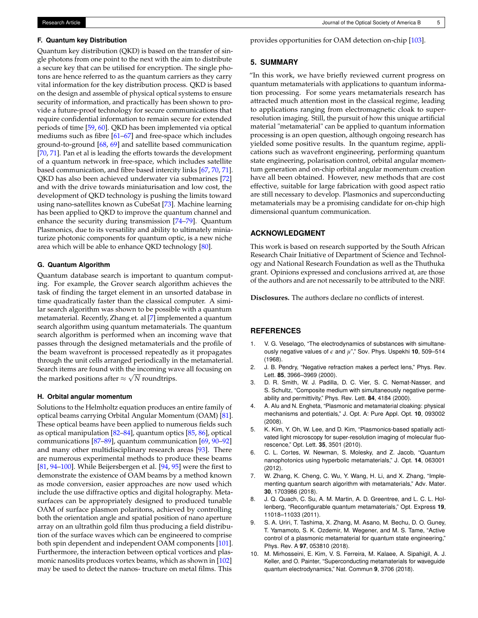#### **F. Quantum key Distribution**

Quantum key distribution (QKD) is based on the transfer of single photons from one point to the next with the aim to distribute a secure key that can be utilised for encryption. The single photons are hence referred to as the quantum carriers as they carry vital information for the key distribution process. QKD is based on the design and assemble of physical optical systems to ensure security of information, and practically has been shown to provide a future-proof technology for secure communications that require confidential information to remain secure for extended periods of time [\[59,](#page-6-2) [60\]](#page-6-3). QKD has been implemented via optical mediums such as fibre [\[61](#page-6-4)[–67\]](#page-6-5) and free-space which includes ground-to-ground [\[68,](#page-6-6) [69\]](#page-6-7) and satellite based communication [\[70,](#page-6-8) [71\]](#page-6-9). Pan et al is leading the efforts towards the development of a quantum network in free-space, which includes satellite based communication, and fibre based intercity links [\[67,](#page-6-5) [70,](#page-6-8) [71\]](#page-6-9). QKD has also been achieved underwater via submarines [\[72\]](#page-6-10) and with the drive towards miniaturisation and low cost, the development of QKD technology is pushing the limits toward using nano-satellites known as CubeSat [\[73\]](#page-6-11). Machine learning has been applied to QKD to improve the quantum channel and enhance the security during transmission [\[74](#page-6-12)[–79\]](#page-6-13). Quantum Plasmonics, due to its versatility and ability to ultimately miniaturize photonic components for quantum optic, is a new niche area which will be able to enhance QKD technology [\[80\]](#page-6-14).

## **G. Quantum Algorithm**

Quantum database search is important to quantum computing. For example, the Grover search algorithm achieves the task of finding the target element in an unsorted database in time quadratically faster than the classical computer. A similar search algorithm was shown to be possible with a quantum metamaterial. Recently, Zhang et. al [\[7\]](#page-4-6) implemented a quantum search algorithm using quantum metamaterials. The quantum search algorithm is performed when an incoming wave that passes through the designed metamaterials and the profile of the beam wavefront is processed repeatedly as it propagates through the unit cells arranged periodically in the metamaterial. Search items are found with the incoming wave all focusing on √ the marked positions after  $\approx$   $\sqrt{N}$  roundtrips.

#### **H. Orbital angular momentum**

Solutions to the Helmholtz equation produces an entire family of optical beams carrying Orbital Angular Momentum (OAM) [\[81\]](#page-6-15). These optical beams have been applied to numerous fields such as optical manipulation [\[82–](#page-6-16)[84\]](#page-6-17), quantum optics [\[85,](#page-6-18) [86\]](#page-6-19), optical communications [\[87–](#page-6-20)[89\]](#page-6-21), quantum communication [\[69,](#page-6-7) [90](#page-6-22)[–92\]](#page-6-23) and many other multidisciplinary research areas [\[93\]](#page-6-24). There are numerous experimental methods to produce these beams [\[81,](#page-6-15) [94](#page-6-25)[–100\]](#page-6-26). While Beijersbergen et al. [\[94,](#page-6-25) [95\]](#page-6-27) were the first to demonstrate the existence of OAM beams by a method known as mode conversion, easier approaches are now used which include the use diffractive optics and digital holography. Metasurfaces can be appropriately designed to produced tunable OAM of surface plasmon polaritons, achieved by controlling both the orientation angle and spatial position of nano aperture array on an ultrathin gold film thus producing a field distribution of the surface waves which can be engineered to comprise both spin dependent and independent OAM components [\[101\]](#page-6-28). Furthermore, the interaction between optical vortices and plasmonic nanoslits produces vortex beams, which as shown in [\[102\]](#page-7-0) may be used to detect the nanos- tructure on metal films. This

provides opportunities for OAM detection on-chip [\[103\]](#page-7-1).

## **5. SUMMARY**

"In this work, we have briefly reviewed current progress on quantum metamaterials with applications to quantum information processing. For some years metamaterials research has attracted much attention most in the classical regime, leading to applications ranging from electromagnetic cloak to superresolution imaging. Still, the pursuit of how this unique artificial material "metamaterial" can be applied to quantum information processing is an open question, although ongoing research has yielded some positive results. In the quantum regime, applications such as wavefront engineering, performing quantum state engineering, polarisation control, orbital angular momentum generation and on-chip orbital angular momentum creation have all been obtained. However, new methods that are cost effective, suitable for large fabrication with good aspect ratio are still necessary to develop. Plasmonics and superconducting metamaterials may be a promising candidate for on-chip high dimensional quantum communication.

## **ACKNOWLEDGMENT**

This work is based on research supported by the South African Research Chair Initiative of Department of Science and Technology and National Research Foundation as well as the Thuthuka grant. Opinions expressed and conclusions arrived at, are those of the authors and are not necessarily to be attributed to the NRF.

**Disclosures.** The authors declare no conflicts of interest.

## **REFERENCES**

- <span id="page-4-0"></span>V. G. Veselago, "The electrodynamics of substances with simultaneously negative values of *e* and *µ*"," Sov. Phys. Uspekhi **10**, 509–514 (1968).
- <span id="page-4-1"></span>2. J. B. Pendry, "Negative refraction makes a perfect lens," Phys. Rev. Lett. **85**, 3966–3969 (2000).
- <span id="page-4-2"></span>3. D. R. Smith, W. J. Padilla, D. C. Vier, S. C. Nemat-Nasser, and S. Schultz, "Composite medium with simultaneously negative permeability and permittivity," Phys. Rev. Lett. **84**, 4184 (2000).
- <span id="page-4-3"></span>4. A. Alu and N. Engheta, "Plasmonic and metamaterial cloaking: physical mechanisms and potentials," J. Opt. A: Pure Appl. Opt. **10**, 093002 (2008).
- <span id="page-4-4"></span>5. K. Kim, Y. Oh, W. Lee, and D. Kim, "Plasmonics-based spatially activated light microscopy for super-resolution imaging of molecular fluorescence," Opt. Lett. **35**, 3501 (2010).
- <span id="page-4-5"></span>6. C. L. Cortes, W. Newman, S. Molesky, and Z. Jacob, "Quantum nanophotonics using hyperbolic metamaterials," J. Opt. **14**, 063001 (2012).
- <span id="page-4-6"></span>7. W. Zhang, K. Cheng, C. Wu, Y. Wang, H. Li, and X. Zhang, "Implementing quantum search algorithm with metamaterials," Adv. Mater. **30**, 1703986 (2018).
- <span id="page-4-7"></span>8. J. Q. Quach, C. Su, A. M. Martin, A. D. Greentree, and L. C. L. Hollenberg, "Reconfigurable quantum metamaterials," Opt. Express **19**, 11018–11033 (2011).
- <span id="page-4-8"></span>9. S. A. Uriri, T. Tashima, X. Zhang, M. Asano, M. Bechu, D. O. Guney, T. Yamamoto, S. K. Ozdemir, M. Wegener, and M. S. Tame, "Active control of a plasmonic metamaterial for quantum state engineering," Phys. Rev. A **97**, 053810 (2018).
- <span id="page-4-9"></span>10. M. Mirhosseini, E. Kim, V. S. Ferreira, M. Kalaee, A. Sipahigil, A. J. Keller, and O. Painter, "Superconducting metamaterials for waveguide quantum electrodynamics," Nat. Commun **9**, 3706 (2018).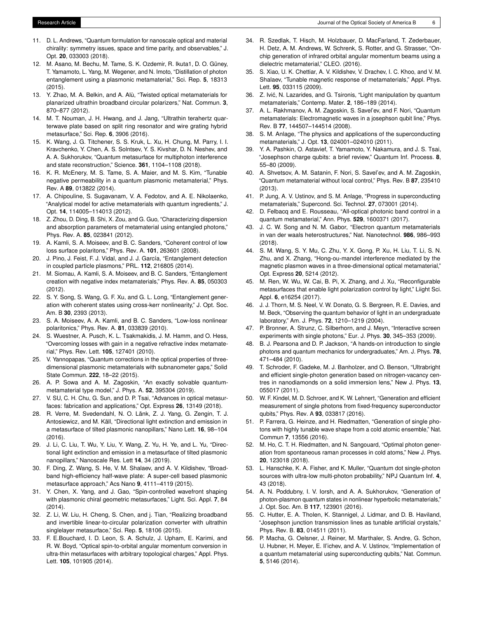- <span id="page-5-0"></span>11. D. L. Andrews, "Quantum formulation for nanoscale optical and material chirality: symmetry issues, space and time parity, and observables," J. Opt. **20**, 033003 (2018).
- <span id="page-5-1"></span>12. M. Asano, M. Bechu, M. Tame, S. K. Ozdemir, R. Ikuta1, D. O. Güney, T. Yamamoto, L. Yang, M. Wegener, and N. Imoto, "Distillation of photon entanglement using a plasmonic metamaterial," Sci. Rep. **5**, 18313 (2015).
- <span id="page-5-2"></span>13. Y. Zhao, M. A. Belkin, and A. Alù, "Twisted optical metamaterials for planarized ultrathin broadband circular polarizers," Nat. Commun. **3**, 870–877 (2012).
- <span id="page-5-3"></span>14. M. T. Nouman, J. H. Hwang, and J. Jang, "Ultrathin terahertz quarterwave plate based on split ring resonator and wire grating hybrid metasurface," Sci. Rep. **6**, 3906 (2016).
- <span id="page-5-4"></span>15. K. Wang, J. G. Titchener, S. S. Kruk, L. Xu, H. Chung, M. Parry, I. I. Kravchenko, Y. Chen, A. S. Solntsev, Y. S. Kivshar, D. N. Neshev, and A. A. Sukhorukov, "Quantum metasurface for multiphoton interference and state reconstruction," Science. **361**, 1104–1108 (2018).
- <span id="page-5-5"></span>16. K. R. McEnery, M. S. Tame, S. A. Maier, and M. S. Kim, "Tunable negative permeability in a quantum plasmonic metamaterial," Phys. Rev. A **89**, 013822 (2014).
- <span id="page-5-6"></span>17. A. Chipouline, S. Sugavanam, V. A. Fedotov, and A. E. Nikolaenko, "Analytical model for active metamaterials with quantum ingredients," J. Opt. **14**, 114005–114013 (2012).
- <span id="page-5-7"></span>18. Z. Zhou, D. Ding, B. Shi, X. Zou, and G. Guo, "Characterizing dispersion and absorption parameters of metamaterial using entangled photons," Phys. Rev. A. **85**, 023841 (2012).
- <span id="page-5-8"></span>19. A. Kamli, S. A. Moiseev, and B. C. Sanders, "Coherent control of low loss surface polaritons," Phys. Rev. A. **101**, 263601 (2008).
- <span id="page-5-9"></span>20. J. Pino, J. Feist, F. J. Vidal, and J. J. García, "Entanglement detection in coupled particle plasmons," PRL. **112**, 216805 (2014).
- <span id="page-5-10"></span>21. M. Siomau, A. Kamli, S. A. Moiseev, and B. C. Sanders, "Entanglement creation with negative index metamaterials," Phys. Rev. A. **85**, 050303 (2012).
- <span id="page-5-11"></span>22. S. Y. Song, S. Wang, G. F. Xu, and G. L. Long, "Entanglement generation with coherent states using cross-kerr nonlinearity," J. Opt. Soc. Am. B **30**, 2393 (2013).
- <span id="page-5-12"></span>23. S. A. Moiseev, A. A. Kamli, and B. C. Sanders, "Low-loss nonlinear polaritonics," Phys. Rev. A. **81**, 033839 (2010).
- <span id="page-5-13"></span>24. S. Wuestner, A. Pusch, K. L. Tsakmakidis, J. M. Hamm, and O. Hess, "Overcoming losses with gain in a negative refractive index metamaterial," Phys. Rev. Lett. **105**, 127401 (2010).
- <span id="page-5-14"></span>25. V. Yannopapas, "Quantum corrections in the optical properties of threedimensional plasmonic metamaterials with subnanometer gaps," Solid State Commun. **222**, 18–22 (2015).
- <span id="page-5-15"></span>26. A. P. Sowa and A. M. Zagoskin, "An exactly solvable quantummetamaterial type model," J. Phys. A. **52**, 395304 (2019).
- <span id="page-5-16"></span>27. V. SU, C. H. Chu, G. Sun, and D. P. Tsai, "Advances in optical metasurfaces: fabrication and applications," Opt. Express **26**, 13149 (2018).
- <span id="page-5-17"></span>28. R. Verre, M. Svedendahl, N. O. Länk, Z. J. Yang, G. Zengin, T. J. Antosiewicz, and M. Käll, "Directional light extinction and emission in a metasurface of tilted plasmonic nanopillars," Nano Lett. **16**, 98–104 (2016).
- <span id="page-5-18"></span>29. J. Li, C. Liu, T. Wu, Y. Liu, Y. Wang, Z. Yu, H. Ye, and L. Yu, "Directional light extinction and emission in a metasurface of tilted plasmonic nanopillars," Nanoscale Res. Lett **14**, 34 (2019).
- 30. F. Ding, Z. Wang, S. He, V. M. Shalaev, and A. V. Kildishev, "Broadband high-efficiency half-wave plate: A super-cell based plasmonic metasurface approach," Acs Nano **9**, 4111–4119 (2015).
- <span id="page-5-19"></span>31. Y. Chen, X. Yang, and J. Gao, "Spin-controlled wavefront shaping with plasmonic chiral geometric metasurfaces," Light. Sci. Appl. **7**, 84 (2014).
- <span id="page-5-20"></span>32. Z. Li, W. Liu, H. Cheng, S. Chen, and j. Tian, "Realizing broadband and invertible linear-to-circular polarization converter with ultrathin singlelayer metasurface," Sci. Rep. **5**, 18106 (2015).
- <span id="page-5-21"></span>33. F. E.Bouchard, I. D. Leon, S. A. Schulz, J. Upham, E. Karimi, and R. W. Boyd, "Optical spin-to-orbital angular momentum conversion in ultra-thin metasurfaces with arbitrary topological charges," Appl. Phys. Lett. **105**, 101905 (2014).
- <span id="page-5-22"></span>34. R. Szedlak, T. Hisch, M. Holzbauer, D. MacFarland, T. Zederbauer, H. Detz, A. M. Andrews, W. Schrenk, S. Rotter, and G. Strasser, "Onchip generation of infrared orbital angular momentum beams using a dielectric metamaterial," CLEO. (2016).
- <span id="page-5-23"></span>35. S. Xiao, U. K. Chettiar, A. V. Kildishev, V. Drachev, I. C. Khoo, and V. M. Shalaev, "Tunable magnetic response of metamaterials," Appl. Phys. Lett. **95**, 033115 (2009).
- <span id="page-5-24"></span>36. Z. Ivic, N. Lazarides, and G. Tsironis, "Light manipulation by quantum ´ metamaterials," Contemp. Mater. **2**, 186–189 (2014).
- <span id="page-5-25"></span>37. A. L. Rakhmanov, A. M. Zagoskin, S. Savel'ev, and F. Nori, "Quantum metamaterials: Electromagnetic waves in a josephson qubit line," Phys. Rev. B **77**, 144507–144514 (2008).
- 38. S. M. Anlage, "The physics and applications of the superconducting metamaterials," J. Opt. **13**, 024001–024010 (2011).
- 39. Y. A. Pashkin, O. Astavief, T. Yamamoto, Y. Nakamura, and J. S. Tsai, "Josephson charge qubits: a brief review," Quantum Inf. Process. **8**, 55–80 (2009).
- 40. A. Shvetsov, A. M. Satanin, F. Nori, S. Savel'ev, and A. M. Zagoskin, "Quantum metamaterial without local control," Phys. Rev. B **87**, 235410 (2013).
- <span id="page-5-26"></span>41. P. Jung, A. V. Ustinov, and S. M. Anlage, "Progress in superconducting metamaterials," Supercond. Sci. Technol. **27**, 073001 (2014).
- <span id="page-5-27"></span>42. D. Felbacq and E. Rousseau, "All-optical photonic band control in a quantum metamaterial," Ann. Phys. **529**, 1600371 (2017).
- <span id="page-5-28"></span>43. J. C. W. Song and N. M. Gabor, "Electron quantum metamaterials in van der waals heterostructures," Nat. Nanotechnol. **986**, 986–993 (2018).
- <span id="page-5-29"></span>44. S. M. Wang, S. Y. Mu, C. Zhu, Y. X. Gong, P. Xu, H. Liu, T. Li, S. N. Zhu, and X. Zhang, "Hong-ou-mandel interference mediated by the magnetic plasmon waves in a three-dimensional optical metamaterial," Opt. Express **20**, 5214 (2012).
- <span id="page-5-30"></span>45. M. Ren, W. Wu, W. Cai, B. Pi, X. Zhang, and J. Xu, "Reconfigurable metasurfaces that enable light polarization control by light," Liight Sci. Appl. **6**, e16254 (2017).
- <span id="page-5-31"></span>46. J. J. Thorn, M. S. Neel, V. W. Donato, G. S. Bergreen, R. E. Davies, and M. Beck, "Observing the quantum behavior of light in an undergraduate laboratory," Am. J. Phys. **72**, 1210–1219 (2004).
- 47. P. Bronner, A. Strunz, C. Silberhorn, and J. Meyn, "Interactive screen experiments with single photons," Eur. J. Phys. **30**, 345–353 (2009).
- <span id="page-5-32"></span>48. B. J. Pearsona and D. P. Jackson, "A hands-on introduction to single photons and quantum mechanics for undergraduates," Am. J. Phys. **78**, 471–484 (2010).
- <span id="page-5-33"></span>49. T. Schroder, F. Gadeke, M. J. Banholzer, and O. Benson, "Ultrabright and efficient single-photon generation based on nitrogen-vacancy centres in nanodiamonds on a solid immersion lens," New J. Phys. **13**, 055017 (2011).
- <span id="page-5-34"></span>50. W. F. Kindel, M. D. Schroer, and K. W. Lehnert, "Generation and efficient measurement of single photons from fixed-frequency superconductor qubits," Phys. Rev. A **93**, 033817 (2016).
- <span id="page-5-35"></span>51. P. Farrera, G. Heinze, and H. Riedmatten, "Generation of single photons with highly tunable wave shape from a cold atomic ensemble," Nat. Commun **7**, 13556 (2016).
- <span id="page-5-36"></span>52. M. Ho, C. T. H. Riedmatten, and N. Sangouard, "Optimal photon generation from spontaneous raman processes in cold atoms," New J. Phys. **20**, 123018 (2018).
- <span id="page-5-37"></span>53. L. Hanschke, K. A. Fisher, and K. Muller, "Quantum dot single-photon sources with ultra-low multi-photon probability," NPJ Quantum Inf. **4**, 43 (2018).
- <span id="page-5-38"></span>54. A. N. Poddubny, I. V. Iorsh, and A. A. Sukhorukov, "Generation of photon-plasmon quantum states in nonlinear hyperbolic metamaterials," J. Opt. Soc. Am. B **117**, 123901 (2016).
- <span id="page-5-39"></span>55. C. Hutter, E. A. Tholen, K. Stannigel, J. Lidmar, and D. B. Haviland, "Josephson junction transmission lines as tunable artificial crystals," Phys. Rev. B. **83**, 014511 (2011).
- <span id="page-5-40"></span>56. P. Macha, G. Oelsner, J. Reiner, M. Marthaler, S. Andre, G. Schon, U. Hubner, H. Meyer, E. Il'ichev, and A. V. Ustinov, "Implementation of a quantum metamaterial using superconducting qubits," Nat. Commun. **5**, 5146 (2014).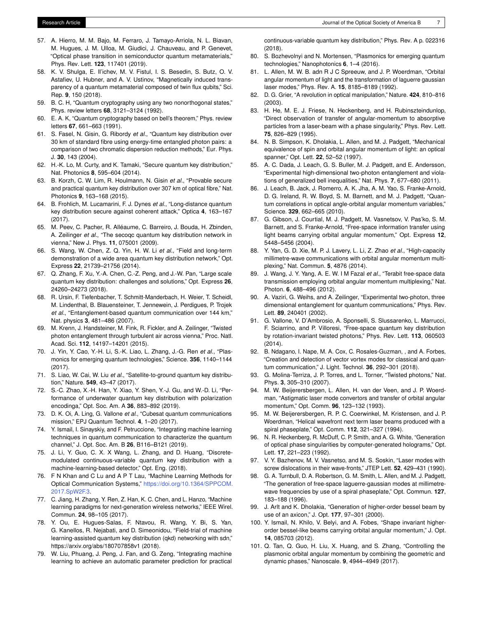- <span id="page-6-0"></span>57. A. Hierro, M. M. Bajo, M. Ferraro, J. Tamayo-Arriola, N. L. Biavan, M. Hugues, J. M. Ulloa, M. Giudici, J. Chauveau, and P. Genevet, "Optical phase transition in semiconductor quantum metamaterials," Phys. Rev. Lett. **123**, 117401 (2019).
- <span id="page-6-1"></span>58. K. V. Shulga, E. Il'ichev, M. V. Fistul, I. S. Besedin, S. Butz, O. V. Astafiev, U. Hubner, and A. V. Ustinov, "Magnetically induced transparency of a quantum metamaterial composed of twin flux qubits," Sci. Rep. **9**, 150 (2018).
- <span id="page-6-2"></span>59. B. C. H, "Quantum cryptography using any two nonorthogonal states," Phys. review letters **68**, 3121–3124 (1992).
- <span id="page-6-3"></span>60. E. A. K, "Quantum cryptography based on bell's theorem," Phys. review letters **67**, 661–663 (1991).
- <span id="page-6-4"></span>61. S. Fasel, N. Gisin, G. Ribordy *et al.*, "Quantum key distribution over 30 km of standard fibre using energy-time entangled photon pairs: a comparison of two chromatic dispersion reduction methods," Eur. Phys. J. **30**, 143 (2004).
- 62. H.-K. Lo, M. Curty, and K. Tamaki, "Secure quantum key distribution," Nat. Photonics **8**, 595–604 (2014).
- 63. B. Korzh, C. W. Lim, R. Houlmann, N. Gisin *et al.*, "Provable secure and practical quantum key distribution over 307 km of optical fibre," Nat. Photonics **9**, 163–168 (2015).
- 64. B. Frohlich, M. Lucamarini, F. J. Dynes *et al.*, "Long-distance quantum key distribution secure against coherent attack," Optica **4**, 163–167 (2017).
- 65. M. Peev, C. Pacher, R. Alléaume, C. Barreiro, J. Bouda, H. Zbinden, A. Zeilinger *et al.*, "The secoqc quantum key distribution network in vienna," New J. Phys. **11**, 075001 (2009).
- 66. S. Wang, W. Chen, Z. Q. Yin, H. W. Li *et al.*, "Field and long-term demonstration of a wide area quantum key distribution network," Opt. Express **22**, 21739–21756 (2014).
- <span id="page-6-5"></span>67. Q. Zhang, F. Xu, Y.-A. Chen, C.-Z. Peng, and J.-W. Pan, "Large scale quantum key distribution: challenges and solutions," Opt. Express **26**, 24260–24273 (2018).
- <span id="page-6-6"></span>68. R. Ursin, F. Tiefenbacher, T. Schmitt-Manderbach, H. Weier, T. Scheidl, M. Lindenthal, B. Blauensteiner, T. Jennewein, J. Perdigues, P. Trojek *et al.*, "Entanglement-based quantum communication over 144 km," Nat. physics **3**, 481–486 (2007).
- <span id="page-6-7"></span>69. M. Krenn, J. Handsteiner, M. Fink, R. Fickler, and A. Zeilinger, "Twisted photon entanglement through turbulent air across vienna," Proc. Natl. Acad. Sci. **112**, 14197–14201 (2015).
- <span id="page-6-8"></span>70. J. Yin, Y. Cao, Y.-H. Li, S.-K. Liao, L. Zhang, J.-G. Ren *et al.*, "Plasmonics for emerging quantum technologies," Science. **356**, 1140–1144 (2017).
- <span id="page-6-9"></span>71. S. Liao, W. Cai, W. Liu *et al.*, "Satellite-to-ground quantum key distribution," Nature. **549**, 43–47 (2017).
- <span id="page-6-10"></span>72. S.-C. Zhao, X.-H. Han, Y. Xiao, Y. Shen, Y.-J. Gu, and W.-D. Li, "Performance of underwater quantum key distribution with polarization encodinga," Opt. Soc. Am. A **36**, 883–892 (2019).
- <span id="page-6-11"></span>73. D. K. Oi, A. Ling, G. Vallone *et al.*, "Cubesat quantum communications mission," EPJ Quantum Technol. **4**, 1–20 (2017).
- <span id="page-6-12"></span>74. Y. Ismail, I. Sinayskiy, and F. Petruccione, "Integrating machine learning techniques in quantum communication to characterize the quantum channel," J. Opt. Soc. Am. B **26**, B116–B121 (2019).
- 75. J. Li, Y. Guo, C. X. X Wang, L. Zhang, and D. Huang, "Discretemodulated continuous-variable quantum key distribution with a machine-learning-based detector," Opt. Eng. (2018).
- 76. F N Khan and C Lu and A P T Lau, "Machine Learning Methods for Optical Communication Systems," [https://doi.org/10.1364/SPPCOM.]( https://doi.org/10.1364/SPPCOM.2017.SpW2F.3) [2017.SpW2F.3.]( https://doi.org/10.1364/SPPCOM.2017.SpW2F.3)
- 77. C. Jiang, H. Zhang, Y. Ren, Z. Han, K. C. Chen, and L. Hanzo, "Machine learning paradigms for next-generation wireless networks," IEEE Wirel. Commun. **24**, 98–105 (2017).
- 78. Y. Ou, E. Hugues-Salas, F. Ntavou, R. Wang, Y. Bi, S. Yan, G. Kanellos, R. Nejabati, and D. Simeonidou, "Field-trial of machine learning-assisted quantum key distribution (qkd) networking with sdn," https://arxiv.org/abs/180707858v1 (2018).
- <span id="page-6-13"></span>79. W. Liu, Phuang, J. Peng, J. Fan, and G. Zeng, "Integrating machine learning to achieve an automatic parameter prediction for practical

continuous-variable quantum key distribution," Phys. Rev. A p. 022316 (2018).

- <span id="page-6-14"></span>80. S. Bozhevolnyi and N. Mortensen, "Plasmonics for emerging quantum technologies," Nanophotonics **6**, 1–4 (2016).
- <span id="page-6-15"></span>81. L. Allen, M. W. B. adn R J C Spreeuw, and J. P. Woerdman, "Orbital angular momentum of light and the transformation of laguerre gaussian laser modes," Phys. Rev. A. **15**, 8185–8189 (1992).
- <span id="page-6-16"></span>82. D. G. Grier, "A revolution in optical manipulation," Nature. **424**, 810–816 (2003).
- 83. H. He, M. E. J. Friese, N. Heckenberg, and H. Rubinszteindunlop, "Direct observation of transfer of angular-momentum to absorptive particles from a laser-beam with a phase singularity," Phys. Rev. Lett. **75**, 826–829 (1995).
- <span id="page-6-17"></span>84. N. B. Simpson, K. Dholakia, L. Allen, and M. J. Padgett, "Mechanical equivalence of spin and orbital angular momentum of light: an optical spanner," Opt. Lett. **22**, 52–52 (1997).
- <span id="page-6-18"></span>85. A. C. Dada, J. Leach, G. S. Buller, M. J. Padgett, and E. Andersson, "Experimental high-dimensional two-photon entanglement and violations of generalized bell inequalities," Nat. Phys. **7**, 677–680 (2011).
- <span id="page-6-19"></span>86. J. Leach, B. Jack, J. Romerro, A. K. Jha, A. M. Yao, S. Franke-Arnold, D. G. Ireland, R. W. Boyd, S. M. Barnett, and M. J. Padgett, "Quantum correlations in optical angle-orbital angular momentum variables," Science. **329**, 662–665 (2010).
- <span id="page-6-20"></span>87. G. Gibson, J. Courtial, M. J. Padgett, M. Vasnetsov, V. Pas'ko, S. M. Barnett, and S. Franke-Arnold, "Free-space information transfer using light beams carrying orbital angular momentum," Opt. Express **12**, 5448–5456 (2004).
- 88. Y. Yan, G. D. Xie, M. P. J. Lavery, L. Li, Z. Zhao *et al.*, "High-capacity millimetre-wave communications with orbital angular momentum multiplexing," Nat. Commun. **5**, 4876 (2014).
- <span id="page-6-21"></span>89. J. Wang, J. Y. Yang, A. E. W. I M Fazal *et al.*, "Terabit free-space data transmission employing orbital angular momentum multiplexing," Nat. Photon. **6**, 488–496 (2012).
- <span id="page-6-22"></span>90. A. Vaziri, G. Weihs, and A. Zeilinger, "Experimental two-photon, three dimensional entanglement for quantum communications," Phys. Rev. Lett. **89**, 240401 (2002).
- 91. G. Vallone, V. D'Ambrosio, A. Sponselli, S. Slussarenko, L. Marrucci, F. Sciarrino, and P. Villoresi, "Free-space quantum key distribution by rotation-invariant twisted photons," Phys. Rev. Lett. **113**, 060503 (2014).
- <span id="page-6-23"></span>92. B. Ndagano, I. Nape, M. A. Cox, C. Rosales-Guzman, , and A. Forbes, "Creation and detection of vector vortex modes for classical and quantum communication," J. Light. Technol. **36**, 292–301 (2018).
- <span id="page-6-24"></span>93. G. Molina-Terriza, J. P. Torres, and L. Torner, "Twisted photons," Nat. Phys. **3**, 305–310 (2007).
- <span id="page-6-25"></span>94. M. W. Beijerersbergen, L. Allen, H. van der Veen, and J. P. Woerdman, "Astigmatic laser mode convertors and transfer of orbital angular momentum," Opt. Comm. **96**, 123–132 (1993).
- <span id="page-6-27"></span>95. M. W. Beijerersbergen, R. P. C. Coerwinkel, M. Kristensen, and J. P. Woerdman, "Helical wavefront next term laser beams produced with a spiral phaseplate," Opt. Comm. **112**, 321–327 (1994).
- 96. N. R. Heckenberg, R. McDuff, C. P. Smith, and A. G. White, "Generation of optical phase singularities by computer-generated holograms," Opt. Lett. **17**, 221–223 (1992).
- 97. V. Y. Bazhenov, M. V. Vasnetso, and M. S. Soskin, "Laser modes with screw dislocations in their wave-fronts," JTEP Lett. **52**, 429–431 (1990).
- 98. G. A. Turnbull, D. A. Robertson, G. M. Smith, L. Allen, and M. J. Padgett, "The generation of free-space laguerre-gaussian modes at millimetrewave frequencies by use of a spiral phaseplate," Opt. Commun. **127**, 183–188 (1996).
- 99. J. Arlt and K. Dholakia, "Generation of higher-order bessel beam by use of an axicon," J. Opt. **177**, 97–301 (2000).
- <span id="page-6-26"></span>100. Y. Ismail, N. Khilo, V. Belyi, and A. Fobes, "Shape invariant higherorder bessel-like beams carrying orbital angular momentum," J. Opt. **14**, 085703 (2012).
- <span id="page-6-28"></span>101. Q. Tan, Q. Guo, H. Liu, X. Huang, and S. Zhang, "Controlling the plasmonic orbital angular momentum by combining the geometric and dynamic phases," Nanoscale. **9**, 4944–4949 (2017).